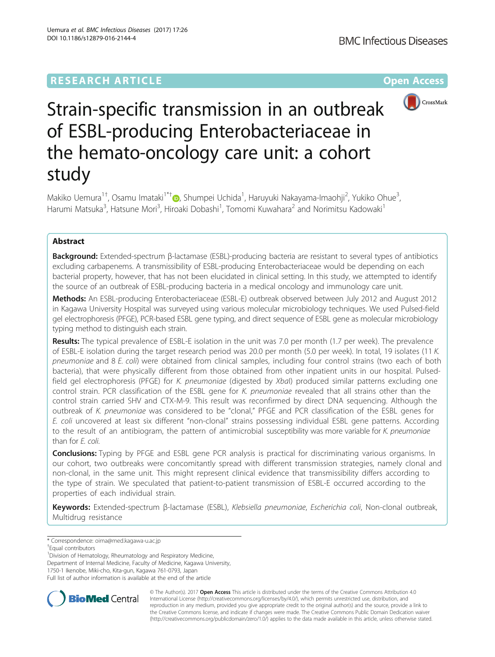# **RESEARCH ARTICLE External Structure Community Community Community Community Community Community Community Community**



# Strain-specific transmission in an outbreak of ESBL-producing Enterobacteriaceae in the hemato-oncology care unit: a cohort study

Makiko Uemura<sup>1+</sup>, Osamu Imataki<sup>1\*[†](http://orcid.org/0000-0001-5332-1316)</sup>®, Shumpei Uchida<sup>1</sup>, Haruyuki Nakayama-Imaohji<sup>2</sup>, Yukiko Ohue<sup>3</sup> , Harumi Matsuka<sup>3</sup>, Hatsune Mori<sup>3</sup>, Hiroaki Dobashi<sup>1</sup>, Tomomi Kuwahara<sup>2</sup> and Norimitsu Kadowaki<sup>1</sup>

## Abstract

Background: Extended-spectrum β-lactamase (ESBL)-producing bacteria are resistant to several types of antibiotics excluding carbapenems. A transmissibility of ESBL-producing Enterobacteriaceae would be depending on each bacterial property, however, that has not been elucidated in clinical setting. In this study, we attempted to identify the source of an outbreak of ESBL-producing bacteria in a medical oncology and immunology care unit.

Methods: An ESBL-producing Enterobacteriaceae (ESBL-E) outbreak observed between July 2012 and August 2012 in Kagawa University Hospital was surveyed using various molecular microbiology techniques. We used Pulsed-field gel electrophoresis (PFGE), PCR-based ESBL gene typing, and direct sequence of ESBL gene as molecular microbiology typing method to distinguish each strain.

Results: The typical prevalence of ESBL-E isolation in the unit was 7.0 per month (1.7 per week). The prevalence of ESBL-E isolation during the target research period was 20.0 per month (5.0 per week). In total, 19 isolates (11 K. pneumoniae and 8 E. coli) were obtained from clinical samples, including four control strains (two each of both bacteria), that were physically different from those obtained from other inpatient units in our hospital. Pulsedfield gel electrophoresis (PFGE) for K. pneumoniae (digested by Xbal) produced similar patterns excluding one control strain. PCR classification of the ESBL gene for K. pneumoniae revealed that all strains other than the control strain carried SHV and CTX-M-9. This result was reconfirmed by direct DNA sequencing. Although the outbreak of K. pneumoniae was considered to be "clonal," PFGE and PCR classification of the ESBL genes for E. coli uncovered at least six different "non-clonal" strains possessing individual ESBL gene patterns. According to the result of an antibiogram, the pattern of antimicrobial susceptibility was more variable for K. pneumoniae than for E. coli.

**Conclusions:** Typing by PFGE and ESBL gene PCR analysis is practical for discriminating various organisms. In our cohort, two outbreaks were concomitantly spread with different transmission strategies, namely clonal and non-clonal, in the same unit. This might represent clinical evidence that transmissibility differs according to the type of strain. We speculated that patient-to-patient transmission of ESBL-E occurred according to the properties of each individual strain.

Keywords: Extended-spectrum β-lactamase (ESBL), Klebsiella pneumoniae, Escherichia coli, Non-clonal outbreak, Multidrug resistance

<sup>1</sup> Division of Hematology, Rheumatology and Respiratory Medicine,

Department of Internal Medicine, Faculty of Medicine, Kagawa University,

1750-1 Ikenobe, Miki-cho, Kita-gun, Kagawa 761-0793, Japan

Full list of author information is available at the end of the article



© The Author(s). 2017 **Open Access** This article is distributed under the terms of the Creative Commons Attribution 4.0 International License [\(http://creativecommons.org/licenses/by/4.0/](http://creativecommons.org/licenses/by/4.0/)), which permits unrestricted use, distribution, and reproduction in any medium, provided you give appropriate credit to the original author(s) and the source, provide a link to the Creative Commons license, and indicate if changes were made. The Creative Commons Public Domain Dedication waiver [\(http://creativecommons.org/publicdomain/zero/1.0/](http://creativecommons.org/publicdomain/zero/1.0/)) applies to the data made available in this article, unless otherwise stated.

<sup>\*</sup> Correspondence: [oima@med.kagawa-u.ac.jp](mailto:oima@med.kagawa-u.ac.jp) †

Equal contributors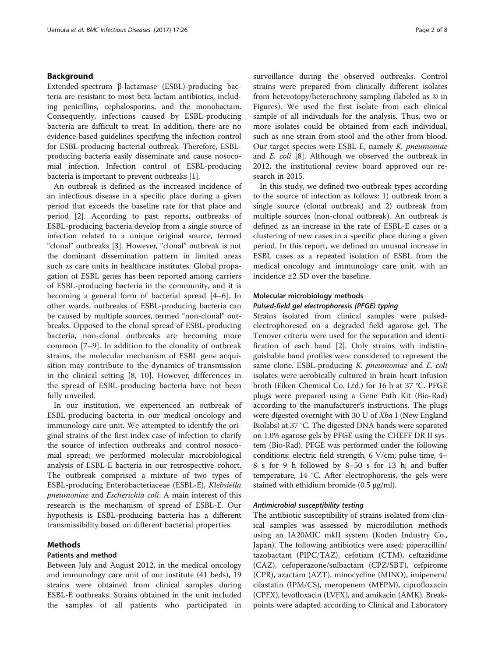## Background

Extended-spectrum β-lactamase (ESBL)-producing bacteria are resistant to most beta-lactam antibiotics, including penicillins, cephalosporins, and the monobactam. Consequently, infections caused by ESBL-producing bacteria are difficult to treat. In addition, there are no evidence-based guidelines specifying the infection control for ESBL-producing bacterial outbreak. Therefore, ESBLproducing bacteria easily disseminate and cause nosocomial infection. Infection control of ESBL-producing bacteria is important to prevent outbreaks [[1\]](#page-6-0).

An outbreak is defined as the increased incidence of an infectious disease in a specific place during a given period that exceeds the baseline rate for that place and period [[2\]](#page-6-0). According to past reports, outbreaks of ESBL-producing bacteria develop from a single source of infection related to a unique original source, termed "clonal" outbreaks [[3\]](#page-6-0). However, "clonal" outbreak is not the dominant dissemination pattern in limited areas such as care units in healthcare institutes. Global propagation of ESBL genes has been reported among carriers of ESBL-producing bacteria in the community, and it is becoming a general form of bacterial spread [\[4](#page-6-0)–[6\]](#page-6-0). In other words, outbreaks of ESBL-producing bacteria can be caused by multiple sources, termed "non-clonal" outbreaks. Opposed to the clonal spread of ESBL-producing bacteria, non-clonal outbreaks are becoming more common [\[7](#page-6-0)–[9](#page-6-0)]. In addition to the clonality of outbreak strains, the molecular mechanism of ESBL gene acquisition may contribute to the dynamics of transmission in the clinical setting [\[8](#page-6-0), [10](#page-6-0)]. However, differences in the spread of ESBL-producing bacteria have not been fully unveiled.

In our institution, we experienced an outbreak of ESBL-producing bacteria in our medical oncology and immunology care unit. We attempted to identify the original strains of the first index case of infection to clarify the source of infection outbreaks and control nosocomial spread; we performed molecular microbiological analysis of ESBL-E bacteria in our retrospective cohort. The outbreak comprised a mixture of two types of ESBL-producing Enterobacteriaceae (ESBL-E), Klebsiella pneumoniae and Escherichia coli. A main interest of this research is the mechanism of spread of ESBL-E. Our hypothesis is ESBL-producing bacteria has a different transmissibility based on different bacterial properties.

## Methods

## Patients and method

Between July and August 2012, in the medical oncology and immunology care unit of our institute (41 beds), 19 strains were obtained from clinical samples during ESBL-E outbreaks. Strains obtained in the unit included the samples of all patients who participated in surveillance during the observed outbreaks. Control strains were prepared from clinically different isolates from heterotopy/heterochrony sampling (labeled as © in Figures). We used the first isolate from each clinical sample of all individuals for the analysis. Thus, two or more isolates could be obtained from each individual, such as one strain from stool and the other from blood. Our target species were ESBL-E, namely K. pneumoniae and E. coli [\[8](#page-6-0)]. Although we observed the outbreak in 2012, the institutional review board approved our research in 2015.

In this study, we defined two outbreak types according to the source of infection as follows: 1) outbreak from a single source (clonal outbreak) and 2) outbreak from multiple sources (non-clonal outbreak). An outbreak is defined as an increase in the rate of ESBL-E cases or a clustering of new cases in a specific place during a given period. In this report, we defined an unusual increase in ESBL cases as a repeated isolation of ESBL from the medical oncology and immunology care unit, with an incidence ±2 SD over the baseline.

## Molecular microbiology methods

## Pulsed-field gel electrophoresis (PFGE) typing

Strains isolated from clinical samples were pulsedelectrophoresed on a degraded field agarose gel. The Tenover criteria were used for the separation and identification of each band [\[2](#page-6-0)]. Only strains with indistinguishable band profiles were considered to represent the same clone. ESBL-producing K. pneumoniae and E. coli isolates were aerobically cultured in brain heart infusion broth (Eiken Chemical Co. Ltd.) for 16 h at 37 °C. PFGE plugs were prepared using a Gene Path Kit (Bio-Rad) according to the manufacturer's instructions. The plugs were digested overnight with 30 U of Xba I (New England Biolabs) at 37 °C. The digested DNA bands were separated on 1.0% agarose gels by PFGE using the CHEFF DR II system (Bio-Rad). PFGE was performed under the following conditions: electric field strength, 6 V/cm; pulse time, 4– 8 s for 9 h followed by 8–50 s for 13 h; and buffer temperature, 14 °C. After electrophoresis, the gels were stained with ethidium bromide (0.5 μg/ml).

#### Antimicrobial susceptibility testing

The antibiotic susceptibility of strains isolated from clinical samples was assessed by microdilution methods using an IA20MIC mkII system (Koden Industry Co., Japan). The following antibiotics were used: piperacillin/ tazobactam (PIPC/TAZ), cefotiam (CTM), ceftazidime (CAZ), cefoperazone/sulbactam (CPZ/SBT), cefpirome (CPR), azactam (AZT), minocycline (MINO), imipenem/ cilastatin (IPM/CS), meropenem (MEPM), ciprofloxacin (CPFX), levofloxacin (LVFX), and amikacin (AMK). Breakpoints were adapted according to Clinical and Laboratory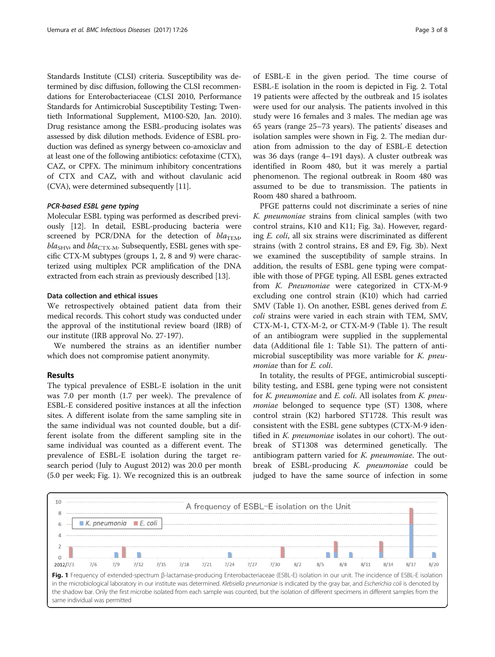Standards Institute (CLSI) criteria. Susceptibility was determined by disc diffusion, following the CLSI recommendations for Enterobacteriaceae (CLSI 2010, Performance Standards for Antimicrobial Susceptibility Testing; Twentieth Informational Supplement, M100-S20, Jan. 2010). Drug resistance among the ESBL-producing isolates was assessed by disk dilution methods. Evidence of ESBL production was defined as synergy between co-amoxiclav and at least one of the following antibiotics: cefotaxime (CTX), CAZ, or CPFX. The minimum inhibitory concentrations of CTX and CAZ, with and without clavulanic acid (CVA), were determined subsequently [[11](#page-6-0)].

## PCR-based ESBL gene typing

Molecular ESBL typing was performed as described previously [\[12\]](#page-6-0). In detail, ESBL-producing bacteria were screened by PCR/DNA for the detection of  $bla_{\text{TEM}}$ ,  $bla<sub>SHV</sub>$  and  $bla<sub>CTX-M</sub>$ . Subsequently, ESBL genes with specific CTX-M subtypes (groups 1, 2, 8 and 9) were characterized using multiplex PCR amplification of the DNA extracted from each strain as previously described [\[13\]](#page-6-0).

#### Data collection and ethical issues

We retrospectively obtained patient data from their medical records. This cohort study was conducted under the approval of the institutional review board (IRB) of our institute (IRB approval No. 27-197).

We numbered the strains as an identifier number which does not compromise patient anonymity.

## Results

The typical prevalence of ESBL-E isolation in the unit was 7.0 per month (1.7 per week). The prevalence of ESBL-E considered positive instances at all the infection sites. A different isolate from the same sampling site in the same individual was not counted double, but a different isolate from the different sampling site in the same individual was counted as a different event. The prevalence of ESBL-E isolation during the target research period (July to August 2012) was 20.0 per month (5.0 per week; Fig. 1). We recognized this is an outbreak of ESBL-E in the given period. The time course of ESBL-E isolation in the room is depicted in Fig. [2](#page-3-0). Total 19 patients were affected by the outbreak and 15 isolates were used for our analysis. The patients involved in this study were 16 females and 3 males. The median age was 65 years (range 25–73 years). The patients' diseases and isolation samples were shown in Fig. [2](#page-3-0). The median duration from admission to the day of ESBL-E detection was 36 days (range 4–191 days). A cluster outbreak was identified in Room 480, but it was merely a partial phenomenon. The regional outbreak in Room 480 was assumed to be due to transmission. The patients in Room 480 shared a bathroom.

PFGE patterns could not discriminate a series of nine K. pneumoniae strains from clinical samples (with two control strains, K10 and K11; Fig. [3a](#page-4-0)). However, regarding E. coli, all six strains were discriminated as different strains (with 2 control strains, E8 and E9, Fig. [3b\)](#page-4-0). Next we examined the susceptibility of sample strains. In addition, the results of ESBL gene typing were compatible with those of PFGE typing. All ESBL genes extracted from K. Pneumoniae were categorized in CTX-M-9 excluding one control strain (K10) which had carried SMV (Table [1](#page-5-0)). On another, ESBL genes derived from E. coli strains were varied in each strain with TEM, SMV, CTX-M-1, CTX-M-2, or CTX-M-9 (Table [1\)](#page-5-0). The result of an antibiogram were supplied in the supplemental data (Additional file [1](#page-6-0): Table S1). The pattern of antimicrobial susceptibility was more variable for K. pneumoniae than for E. coli.

In totality, the results of PFGE, antimicrobial susceptibility testing, and ESBL gene typing were not consistent for *K. pneumoniae* and *E. coli.* All isolates from *K. pneu*moniae belonged to sequence type (ST) 1308, where control strain (K2) harbored ST1728. This result was consistent with the ESBL gene subtypes (CTX-M-9 identified in K. *pneumoniae* isolates in our cohort). The outbreak of ST1308 was determined genetically. The antibiogram pattern varied for K. pneumoniae. The outbreak of ESBL-producing K. pneumoniae could be judged to have the same source of infection in some

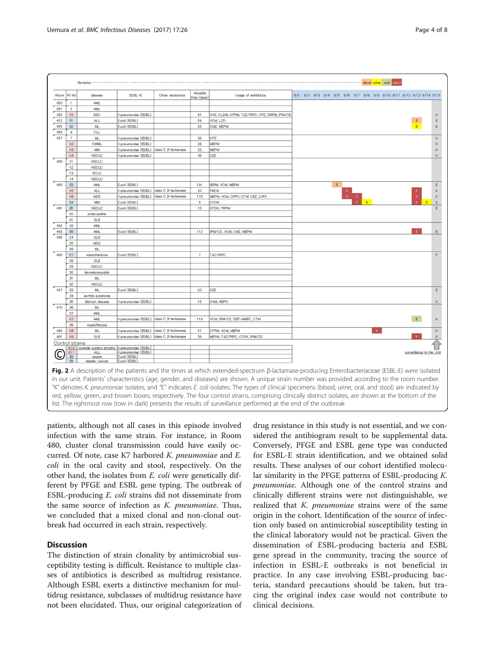<span id="page-3-0"></span>

|                 |                                                                                                                                                 | Remarks                                         |                                                                                                                                                                                                                                                                    |                     |                         |                                                                                                                                                          |  |                                                                   |  |  |   |  |             |  |  |                          |             |  |
|-----------------|-------------------------------------------------------------------------------------------------------------------------------------------------|-------------------------------------------------|--------------------------------------------------------------------------------------------------------------------------------------------------------------------------------------------------------------------------------------------------------------------|---------------------|-------------------------|----------------------------------------------------------------------------------------------------------------------------------------------------------|--|-------------------------------------------------------------------|--|--|---|--|-------------|--|--|--------------------------|-------------|--|
| Room            | Pt No                                                                                                                                           | disease                                         | ESBL-E                                                                                                                                                                                                                                                             | Other resistance    | Hospital<br>Stay (days) | Usage of antibiotics                                                                                                                                     |  | 8/1 8/2 8/3 8/4 8/5 8/6 8/7 8/8 8/9 8/10 8/11 8/12 8/13 8/14 8/15 |  |  |   |  |             |  |  |                          |             |  |
| 450             | $\overline{1}$                                                                                                                                  | <b>AML</b>                                      |                                                                                                                                                                                                                                                                    |                     |                         |                                                                                                                                                          |  |                                                                   |  |  |   |  |             |  |  |                          |             |  |
| 451             | $\overline{c}$                                                                                                                                  | AML                                             |                                                                                                                                                                                                                                                                    |                     |                         |                                                                                                                                                          |  |                                                                   |  |  |   |  |             |  |  |                          |             |  |
| 452             | K1                                                                                                                                              | SSC                                             | (pneumoniae (ESBL)                                                                                                                                                                                                                                                 |                     | 61                      | CAZ, CLDM, CFPM, TAZ/PIPC, CPZ, DRPM, IPM/CS                                                                                                             |  |                                                                   |  |  |   |  |             |  |  |                          |             |  |
| 453             | E1                                                                                                                                              | <b>ALL</b>                                      | E.coli (ESBL)                                                                                                                                                                                                                                                      |                     | 54                      | VCM, LZD                                                                                                                                                 |  |                                                                   |  |  |   |  |             |  |  | E.                       | E           |  |
| 455             | E2                                                                                                                                              | ML                                              | E.coli (ESBL)                                                                                                                                                                                                                                                      |                     | 26                      | CMZ, MEPM                                                                                                                                                |  |                                                                   |  |  |   |  |             |  |  | E                        | E           |  |
| 456             | 6                                                                                                                                               | CLL                                             |                                                                                                                                                                                                                                                                    |                     |                         |                                                                                                                                                          |  |                                                                   |  |  |   |  |             |  |  |                          |             |  |
| 457             | $\overline{7}$                                                                                                                                  | ML                                              | (<.pneumoniae (ESBL)                                                                                                                                                                                                                                               |                     | 39                      | CPZ                                                                                                                                                      |  |                                                                   |  |  |   |  |             |  |  |                          | Κ           |  |
|                 | K2                                                                                                                                              | CMML                                            | (pneumoniae (ESBL)                                                                                                                                                                                                                                                 |                     | 28                      | MEPM                                                                                                                                                     |  |                                                                   |  |  |   |  |             |  |  |                          | Κ           |  |
|                 | K <sub>3</sub>                                                                                                                                  | MM                                              | <pneumoniae (esbl)="" c="" class="" td="" β-lactamase<=""><td></td><td>33</td><td><b>MEPM</b></td><td></td><td></td><td></td><td></td><td></td><td></td><td></td><td></td><td></td><td></td><td><math display="inline">\mathsf K</math></td><td></td></pneumoniae> |                     | 33                      | <b>MEPM</b>                                                                                                                                              |  |                                                                   |  |  |   |  |             |  |  |                          | $\mathsf K$ |  |
|                 | K4                                                                                                                                              | <b>NSCLC</b>                                    | (pneumoniae (ESBL)                                                                                                                                                                                                                                                 |                     | 36                      | CEZ                                                                                                                                                      |  |                                                                   |  |  |   |  |             |  |  |                          | K           |  |
| 458             | 11                                                                                                                                              | <b>NSCLC</b>                                    |                                                                                                                                                                                                                                                                    |                     |                         |                                                                                                                                                          |  |                                                                   |  |  |   |  |             |  |  |                          |             |  |
|                 | 12                                                                                                                                              | <b>NSCLC</b>                                    |                                                                                                                                                                                                                                                                    |                     |                         |                                                                                                                                                          |  |                                                                   |  |  |   |  |             |  |  |                          |             |  |
|                 | 13                                                                                                                                              | SCLC                                            |                                                                                                                                                                                                                                                                    |                     |                         |                                                                                                                                                          |  |                                                                   |  |  |   |  |             |  |  |                          |             |  |
|                 | 14                                                                                                                                              | <b>NSCLC</b>                                    |                                                                                                                                                                                                                                                                    |                     |                         |                                                                                                                                                          |  |                                                                   |  |  |   |  |             |  |  |                          |             |  |
| 460             | $\mathbb{E}3$                                                                                                                                   | <b>AML</b>                                      | E.coli (ESBL)                                                                                                                                                                                                                                                      |                     | 191                     | BIPM, VCM, MEPM                                                                                                                                          |  |                                                                   |  |  | E |  |             |  |  |                          | E           |  |
|                 | K <sub>5</sub>                                                                                                                                  | <b>ALL</b>                                      | <pneumoniae (esbl)="" c="" class="" td="" β-lactamase<=""><td></td><td>20</td><td><b>FMOX</b></td><td></td><td></td><td></td><td></td><td></td><td></td><td></td><td></td><td></td><td></td><td>K</td><td></td></pneumoniae>                                       |                     | 20                      | <b>FMOX</b>                                                                                                                                              |  |                                                                   |  |  |   |  |             |  |  |                          | K           |  |
|                 | K6                                                                                                                                              | <b>MDS</b>                                      | (pneumoniae (ESBL) class C β-lactamase                                                                                                                                                                                                                             |                     | 173                     | MEPM, VCM, CPFX, CTM, CEZ, LVFX                                                                                                                          |  |                                                                   |  |  |   |  |             |  |  |                          |             |  |
|                 | E4                                                                                                                                              | MM                                              | E.coli (ESBL)                                                                                                                                                                                                                                                      |                     | $\overline{4}$          | CFDN                                                                                                                                                     |  |                                                                   |  |  |   |  |             |  |  | E.                       | E           |  |
| 461             | E5                                                                                                                                              | <b>NSCLC</b>                                    | E.coli (ESBL)                                                                                                                                                                                                                                                      |                     | 13                      | CPDX, FRPM                                                                                                                                               |  |                                                                   |  |  |   |  |             |  |  |                          | E           |  |
|                 | 20                                                                                                                                              | endocarditis                                    |                                                                                                                                                                                                                                                                    |                     |                         |                                                                                                                                                          |  |                                                                   |  |  |   |  |             |  |  |                          |             |  |
|                 | 21                                                                                                                                              | SLE                                             |                                                                                                                                                                                                                                                                    |                     |                         |                                                                                                                                                          |  |                                                                   |  |  |   |  |             |  |  |                          |             |  |
| 462             | 22                                                                                                                                              | AML                                             |                                                                                                                                                                                                                                                                    |                     |                         |                                                                                                                                                          |  |                                                                   |  |  |   |  |             |  |  |                          |             |  |
| 463             | E <sub>6</sub>                                                                                                                                  | <b>AML</b>                                      | E.coli (ESBL)                                                                                                                                                                                                                                                      |                     | 112                     | IPM/CS, VCM, CMZ, MEPM                                                                                                                                   |  |                                                                   |  |  |   |  |             |  |  | F.                       | Ε           |  |
| 465             | 24                                                                                                                                              | <b>SLE</b>                                      |                                                                                                                                                                                                                                                                    |                     |                         |                                                                                                                                                          |  |                                                                   |  |  |   |  |             |  |  |                          |             |  |
|                 | 25                                                                                                                                              | <b>MDS</b>                                      |                                                                                                                                                                                                                                                                    |                     |                         |                                                                                                                                                          |  |                                                                   |  |  |   |  |             |  |  |                          |             |  |
|                 | 26                                                                                                                                              | ML                                              |                                                                                                                                                                                                                                                                    |                     |                         |                                                                                                                                                          |  |                                                                   |  |  |   |  |             |  |  |                          |             |  |
| 466             | $\mathsf E7$                                                                                                                                    | mesothelioma                                    | E.coli (ESBL)                                                                                                                                                                                                                                                      |                     | $7\phantom{.0}$         | TAZ/PIPC                                                                                                                                                 |  |                                                                   |  |  |   |  |             |  |  |                          | E           |  |
|                 | 28                                                                                                                                              | SLE                                             |                                                                                                                                                                                                                                                                    |                     |                         |                                                                                                                                                          |  |                                                                   |  |  |   |  |             |  |  |                          |             |  |
|                 | 29                                                                                                                                              | <b>NSCLC</b>                                    |                                                                                                                                                                                                                                                                    |                     |                         |                                                                                                                                                          |  |                                                                   |  |  |   |  |             |  |  |                          |             |  |
|                 | 30                                                                                                                                              | dermatomyositis                                 |                                                                                                                                                                                                                                                                    |                     |                         |                                                                                                                                                          |  |                                                                   |  |  |   |  |             |  |  |                          |             |  |
|                 | 31                                                                                                                                              | ML.                                             |                                                                                                                                                                                                                                                                    |                     |                         |                                                                                                                                                          |  |                                                                   |  |  |   |  |             |  |  |                          |             |  |
|                 | 32                                                                                                                                              |                                                 |                                                                                                                                                                                                                                                                    |                     |                         |                                                                                                                                                          |  |                                                                   |  |  |   |  |             |  |  |                          |             |  |
| 467             | 33                                                                                                                                              | <b>NSCLC</b><br>ML.                             | E.coli (ESBL)                                                                                                                                                                                                                                                      |                     | 20                      | CEZ                                                                                                                                                      |  |                                                                   |  |  |   |  |             |  |  |                          | E           |  |
|                 | 34                                                                                                                                              |                                                 |                                                                                                                                                                                                                                                                    |                     |                         |                                                                                                                                                          |  |                                                                   |  |  |   |  |             |  |  |                          |             |  |
|                 | 35                                                                                                                                              | aortitis syndrome<br>Behcet disease             | K.pneumoniae (ESBL)                                                                                                                                                                                                                                                |                     | 16                      | CAM, ABPC                                                                                                                                                |  |                                                                   |  |  |   |  |             |  |  |                          | K           |  |
| 470             | 36                                                                                                                                              | ML                                              |                                                                                                                                                                                                                                                                    |                     |                         |                                                                                                                                                          |  |                                                                   |  |  |   |  |             |  |  |                          |             |  |
|                 | 37                                                                                                                                              | <b>AML</b>                                      |                                                                                                                                                                                                                                                                    |                     |                         |                                                                                                                                                          |  |                                                                   |  |  |   |  |             |  |  |                          |             |  |
|                 | K7                                                                                                                                              | <b>AML</b>                                      | K.pneumoniae (ESBL) class C β-lactamase                                                                                                                                                                                                                            |                     | 119                     | VCM, IPM/CS, SBT/ABPC, CTM                                                                                                                               |  |                                                                   |  |  |   |  |             |  |  | E                        | K           |  |
|                 | 39                                                                                                                                              | myelofibrosis                                   |                                                                                                                                                                                                                                                                    |                     |                         |                                                                                                                                                          |  |                                                                   |  |  |   |  |             |  |  |                          |             |  |
| 480             | $\mathsf{K}\mathsf{B}$                                                                                                                          | ML                                              | (pneumoniae (ESBL)                                                                                                                                                                                                                                                 | class C B-lactamase | 57                      | CFPM, VCM, MEPM                                                                                                                                          |  |                                                                   |  |  |   |  | $\mathbf K$ |  |  |                          | Κ           |  |
| 481             | K9                                                                                                                                              | SLE                                             | K.pneumoniae (ESBL) class C β-lactamase                                                                                                                                                                                                                            |                     | 39                      | MEPM, TAZ/PIPC, CTRX, IPM/CS                                                                                                                             |  |                                                                   |  |  |   |  |             |  |  |                          |             |  |
|                 |                                                                                                                                                 |                                                 |                                                                                                                                                                                                                                                                    |                     |                         |                                                                                                                                                          |  |                                                                   |  |  |   |  |             |  |  |                          |             |  |
| Control strains |                                                                                                                                                 | K10 multiple system atrophy K.pneumoniae (ESBL) |                                                                                                                                                                                                                                                                    |                     |                         |                                                                                                                                                          |  |                                                                   |  |  |   |  |             |  |  |                          |             |  |
|                 | K11                                                                                                                                             | <b>ALL</b>                                      | (ESBL) <                                                                                                                                                                                                                                                           |                     |                         |                                                                                                                                                          |  |                                                                   |  |  |   |  |             |  |  | surveillance in the Unit |             |  |
|                 | E8                                                                                                                                              | sepsis                                          | E.coli (ESBL)                                                                                                                                                                                                                                                      |                     |                         |                                                                                                                                                          |  |                                                                   |  |  |   |  |             |  |  |                          |             |  |
|                 | E9                                                                                                                                              | bladder cancer                                  | E.coli (ESBL)                                                                                                                                                                                                                                                      |                     |                         |                                                                                                                                                          |  |                                                                   |  |  |   |  |             |  |  |                          |             |  |
|                 |                                                                                                                                                 |                                                 |                                                                                                                                                                                                                                                                    |                     |                         | Fig. 2 A description of the patients and the times at which extended-spectrum ß-lactamase-producing Enterobacteriaceae (ESBL-E) were isolated            |  |                                                                   |  |  |   |  |             |  |  |                          |             |  |
|                 | in our unit. Patients' characteristics (age, gender, and diseases) are shown. A unique strain number was provided according to the room number. |                                                 |                                                                                                                                                                                                                                                                    |                     |                         |                                                                                                                                                          |  |                                                                   |  |  |   |  |             |  |  |                          |             |  |
|                 |                                                                                                                                                 |                                                 |                                                                                                                                                                                                                                                                    |                     |                         | "K" denotes K. pneumoniae isolates, and "E" indicates E. coli isolates. The types of clinical specimens (blood, urine, oral, and stool) are indicated by |  |                                                                   |  |  |   |  |             |  |  |                          |             |  |

red, yellow, green, and brown boxes, respectively. The four control strains, comprising clinically distinct isolates, are shown at the bottom of the list. The rightmost row (row in dark) presents the results of surveillance performed at the end of the outbreak

patients, although not all cases in this episode involved infection with the same strain. For instance, in Room 480, cluster clonal transmission could have easily occurred. Of note, case K7 harbored K. pneumoniae and E. coli in the oral cavity and stool, respectively. On the other hand, the isolates from E. coli were genetically different by PFGE and ESBL gene typing. The outbreak of ESBL-producing E. coli strains did not disseminate from the same source of infection as K. pneumoniae. Thus, we concluded that a mixed clonal and non-clonal outbreak had occurred in each strain, respectively.

## **Discussion**

The distinction of strain clonality by antimicrobial susceptibility testing is difficult. Resistance to multiple classes of antibiotics is described as multidrug resistance. Although ESBL exerts a distinctive mechanism for multidrug resistance, subclasses of multidrug resistance have not been elucidated. Thus, our original categorization of

drug resistance in this study is not essential, and we considered the antibiogram result to be supplemental data. Conversely, PFGE and ESBL gene type was conducted for ESBL-E strain identification, and we obtained solid results. These analyses of our cohort identified molecular similarity in the PFGE patterns of ESBL-producing K. pneumoniae. Although one of the control strains and clinically different strains were not distinguishable, we realized that K. pneumoniae strains were of the same origin in the cohort. Identification of the source of infection only based on antimicrobial susceptibility testing in the clinical laboratory would not be practical. Given the dissemination of ESBL-producing bacteria and ESBL gene spread in the community, tracing the source of infection in ESBL-E outbreaks is not beneficial in practice. In any case involving ESBL-producing bacteria, standard precautions should be taken, but tracing the original index case would not contribute to clinical decisions.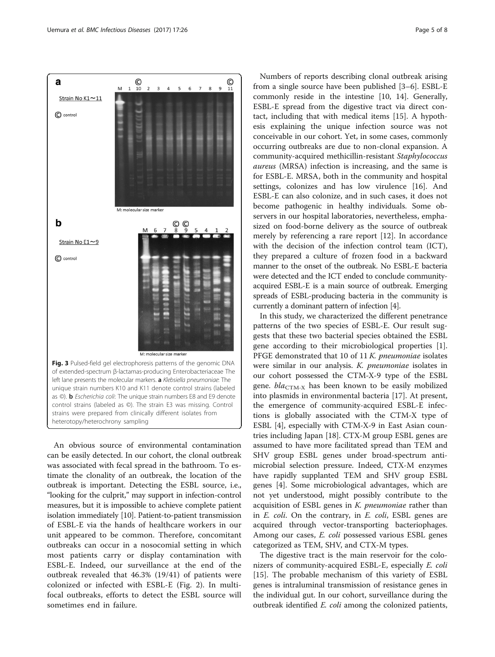<span id="page-4-0"></span>

An obvious source of environmental contamination can be easily detected. In our cohort, the clonal outbreak was associated with fecal spread in the bathroom. To estimate the clonality of an outbreak, the location of the outbreak is important. Detecting the ESBL source, i.e., "looking for the culprit," may support in infection-control measures, but it is impossible to achieve complete patient isolation immediately [\[10](#page-6-0)]. Patient-to-patient transmission of ESBL-E via the hands of healthcare workers in our unit appeared to be common. Therefore, concomitant outbreaks can occur in a nosocomial setting in which most patients carry or display contamination with ESBL-E. Indeed, our surveillance at the end of the outbreak revealed that 46.3% (19/41) of patients were colonized or infected with ESBL-E (Fig. [2\)](#page-3-0). In multifocal outbreaks, efforts to detect the ESBL source will sometimes end in failure.

Numbers of reports describing clonal outbreak arising from a single source have been published [\[3](#page-6-0)–[6\]](#page-6-0). ESBL-E commonly reside in the intestine [\[10, 14](#page-6-0)]. Generally, ESBL-E spread from the digestive tract via direct contact, including that with medical items [\[15\]](#page-6-0). A hypothesis explaining the unique infection source was not conceivable in our cohort. Yet, in some cases, commonly occurring outbreaks are due to non-clonal expansion. A community-acquired methicillin-resistant Staphylococcus aureus (MRSA) infection is increasing, and the same is for ESBL-E. MRSA, both in the community and hospital settings, colonizes and has low virulence [\[16\]](#page-6-0). And ESBL-E can also colonize, and in such cases, it does not become pathogenic in healthy individuals. Some observers in our hospital laboratories, nevertheless, emphasized on food-borne delivery as the source of outbreak merely by referencing a rare report [[12\]](#page-6-0). In accordance with the decision of the infection control team (ICT), they prepared a culture of frozen food in a backward manner to the onset of the outbreak. No ESBL-E bacteria were detected and the ICT ended to conclude communityacquired ESBL-E is a main source of outbreak. Emerging spreads of ESBL-producing bacteria in the community is currently a dominant pattern of infection [[4](#page-6-0)].

In this study, we characterized the different penetrance patterns of the two species of ESBL-E. Our result suggests that these two bacterial species obtained the ESBL gene according to their microbiological properties [\[1](#page-6-0)]. PFGE demonstrated that 10 of 11 K. pneumoniae isolates were similar in our analysis. K. pneumoniae isolates in our cohort possessed the CTM-X-9 type of the ESBL gene.  $bla_{CTM-X}$  has been known to be easily mobilized into plasmids in environmental bacteria [[17\]](#page-7-0). At present, the emergence of community-acquired ESBL-E infections is globally associated with the CTM-X type of ESBL [[4](#page-6-0)], especially with CTM-X-9 in East Asian countries including Japan [[18\]](#page-7-0). CTX-M group ESBL genes are assumed to have more facilitated spread than TEM and SHV group ESBL genes under broad-spectrum antimicrobial selection pressure. Indeed, CTX-M enzymes have rapidly supplanted TEM and SHV group ESBL genes [\[4](#page-6-0)]. Some microbiological advantages, which are not yet understood, might possibly contribute to the acquisition of ESBL genes in K. *pneumoniae* rather than in E. coli. On the contrary, in E. coli, ESBL genes are acquired through vector-transporting bacteriophages. Among our cases, E. coli possessed various ESBL genes categorized as TEM, SHV, and CTX-M types.

The digestive tract is the main reservoir for the colonizers of community-acquired ESBL-E, especially E. coli [[15\]](#page-6-0). The probable mechanism of this variety of ESBL genes is intraluminal transmission of resistance genes in the individual gut. In our cohort, surveillance during the outbreak identified E. coli among the colonized patients,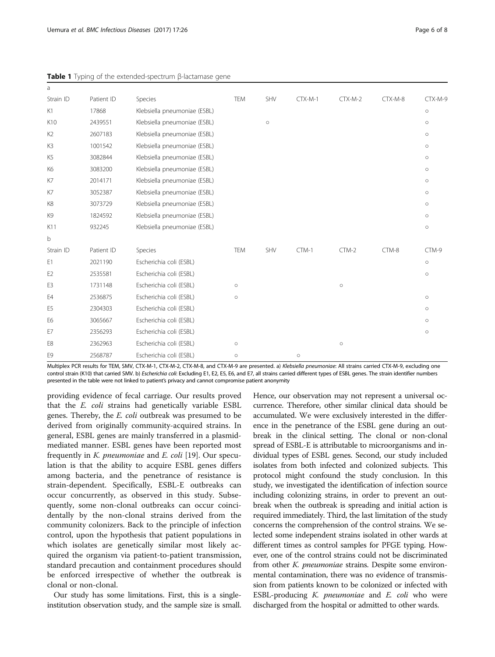| a              |            |                              |            |         |           |           |         |         |
|----------------|------------|------------------------------|------------|---------|-----------|-----------|---------|---------|
| Strain ID      | Patient ID | Species                      | <b>TEM</b> | SHV     | $CTX-M-1$ | $CTX-M-2$ | CTX-M-8 | CTX-M-9 |
| K1             | 17868      | Klebsiella pneumoniae (ESBL) |            |         |           |           |         | $\circ$ |
| K10            | 2439551    | Klebsiella pneumoniae (ESBL) |            | $\circ$ |           |           |         | $\circ$ |
| K <sub>2</sub> | 2607183    | Klebsiella pneumoniae (ESBL) |            |         |           |           |         | $\circ$ |
| K3             | 1001542    | Klebsiella pneumoniae (ESBL) |            |         |           |           |         | $\circ$ |
| K <sub>5</sub> | 3082844    | Klebsiella pneumoniae (ESBL) |            |         |           |           |         | $\circ$ |
| K <sub>6</sub> | 3083200    | Klebsiella pneumoniae (ESBL) |            |         |           |           |         | $\circ$ |
| K7             | 2014171    | Klebsiella pneumoniae (ESBL) |            |         |           |           |         | $\circ$ |
| K7             | 3052387    | Klebsiella pneumoniae (ESBL) |            |         |           |           |         | $\circ$ |
| K8             | 3073729    | Klebsiella pneumoniae (ESBL) |            |         |           |           |         | $\circ$ |
| K9             | 1824592    | Klebsiella pneumoniae (ESBL) |            |         |           |           |         | $\circ$ |
| K11            | 932245     | Klebsiella pneumoniae (ESBL) |            |         |           |           |         | $\circ$ |
| b              |            |                              |            |         |           |           |         |         |
| Strain ID      | Patient ID | Species                      | <b>TEM</b> | SHV     | CTM-1     | $CTM-2$   | CTM-8   | CTM-9   |
| E1             | 2021190    | Escherichia coli (ESBL)      |            |         |           |           |         | $\circ$ |
| E <sub>2</sub> | 2535581    | Escherichia coli (ESBL)      |            |         |           |           |         | $\circ$ |
| E3             | 1731148    | Escherichia coli (ESBL)      | $\circ$    |         |           | $\circ$   |         |         |
| E4             | 2536875    | Escherichia coli (ESBL)      | $\circ$    |         |           |           |         | $\circ$ |
| E <sub>5</sub> | 2304303    | Escherichia coli (ESBL)      |            |         |           |           |         | $\circ$ |
| E <sub>6</sub> | 3065667    | Escherichia coli (ESBL)      |            |         |           |           |         | $\circ$ |
| E7             | 2356293    | Escherichia coli (ESBL)      |            |         |           |           |         | $\circ$ |
| E8             | 2362963    | Escherichia coli (ESBL)      | $\circ$    |         |           | $\circ$   |         |         |
| E <sub>9</sub> | 2568787    | Escherichia coli (ESBL)      | $\circ$    |         | $\circ$   |           |         |         |

<span id="page-5-0"></span>Table 1 Typing of the extended-spectrum β-lactamase gene

Multiplex PCR results for TEM, SMV, CTX-M-1, CTX-M-2, CTX-M-8, and CTX-M-9 are presented. a) Klebsiella pneumoniae: All strains carried CTX-M-9, excluding one control strain (K10) that carried SMV. b) Escherichia coli: Excluding E1, E2, E5, E6, and E7, all strains carried different types of ESBL genes. The strain identifier numbers presented in the table were not linked to patient's privacy and cannot compromise patient anonymity

providing evidence of fecal carriage. Our results proved that the E. coli strains had genetically variable ESBL genes. Thereby, the E. coli outbreak was presumed to be derived from originally community-acquired strains. In general, ESBL genes are mainly transferred in a plasmidmediated manner. ESBL genes have been reported most frequently in K. pneumoniae and E. coli [[19\]](#page-7-0). Our speculation is that the ability to acquire ESBL genes differs among bacteria, and the penetrance of resistance is strain-dependent. Specifically, ESBL-E outbreaks can occur concurrently, as observed in this study. Subsequently, some non-clonal outbreaks can occur coincidentally by the non-clonal strains derived from the community colonizers. Back to the principle of infection control, upon the hypothesis that patient populations in which isolates are genetically similar most likely acquired the organism via patient-to-patient transmission, standard precaution and containment procedures should be enforced irrespective of whether the outbreak is clonal or non-clonal.

Our study has some limitations. First, this is a singleinstitution observation study, and the sample size is small.

Hence, our observation may not represent a universal occurrence. Therefore, other similar clinical data should be accumulated. We were exclusively interested in the difference in the penetrance of the ESBL gene during an outbreak in the clinical setting. The clonal or non-clonal spread of ESBL-E is attributable to microorganisms and individual types of ESBL genes. Second, our study included isolates from both infected and colonized subjects. This protocol might confound the study conclusion. In this study, we investigated the identification of infection source including colonizing strains, in order to prevent an outbreak when the outbreak is spreading and initial action is required immediately. Third, the last limitation of the study concerns the comprehension of the control strains. We selected some independent strains isolated in other wards at different times as control samples for PFGE typing. However, one of the control strains could not be discriminated from other K. pneumoniae strains. Despite some environmental contamination, there was no evidence of transmission from patients known to be colonized or infected with ESBL-producing K. pneumoniae and E. coli who were discharged from the hospital or admitted to other wards.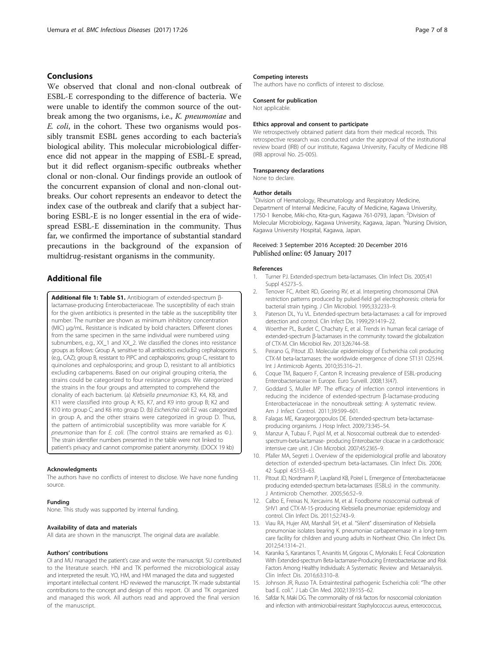## <span id="page-6-0"></span>Conclusions

We observed that clonal and non-clonal outbreak of ESBL-E corresponding to the difference of bacteria. We were unable to identify the common source of the outbreak among the two organisms, i.e., K. pneumoniae and E. coli, in the cohort. These two organisms would possibly transmit ESBL genes according to each bacteria's biological ability. This molecular microbiological difference did not appear in the mapping of ESBL-E spread, but it did reflect organism-specific outbreaks whether clonal or non-clonal. Our findings provide an outlook of the concurrent expansion of clonal and non-clonal outbreaks. Our cohort represents an endeavor to detect the index case of the outbreak and clarify that a subject harboring ESBL-E is no longer essential in the era of widespread ESBL-E dissemination in the community. Thus far, we confirmed the importance of substantial standard precautions in the background of the expansion of multidrug-resistant organisms in the community.

## Additional file

[Additional file 1: Table S1.](dx.doi.org/10.1186/s12879-016-2144-4) Antibiogram of extended-spectrum βlactamase-producing Enterobacteriaceae. The susceptibility of each strain for the given antibiotics is presented in the table as the susceptibility titer number. The number are shown as minimum inhibitory concentration (MIC) μg/mL. Resistance is indicated by bold characters. Different clones from the same specimen in the same individual were numbered using subnumbers, e.g., XX\_1 and XX\_2. We classified the clones into resistance groups as follows: Group A, sensitive to all antibiotics excluding cephalosporins (e.g., CAZ); group B, resistant to PIPC and cephalosporins; group C, resistant to quinolones and cephalosporins; and group D, resistant to all antibiotics excluding carbapenems. Based on our original grouping criteria, the strains could be categorized to four resistance groups. We categorized the strains in the four groups and attempted to comprehend the clonality of each bacterium. (a) Klebsiella pneumoniae: K3, K4, K8, and K11 were classified into group A; K5, K7, and K9 into group B; K2 and K10 into group C; and K6 into group D. (b) Escherichia coli: E2 was categorized in group A, and the other strains were categorized in group D. Thus, the pattern of antimicrobial susceptibility was more variable for K. pneumoniae than for E. coli. (The control strains are remarked as ©.). The strain identifier numbers presented in the table were not linked to patient's privacy and cannot compromise patient anonymity. (DOCX 19 kb)

#### Acknowledgments

The authors have no conflicts of interest to disclose. We have none funding source.

#### Funding

None. This study was supported by internal funding.

#### Availability of data and materials

All data are shown in the manuscript. The original data are available.

#### Authors' contributions

OI and MU managed the patient's case and wrote the manuscript. SU contributed to the literature search. HNI and TK performed the microbiological assay and interpreted the result. YO, HM, and HM managed the data and suggested important intellectual content. HD reviewed the manuscript. TK made substantial contributions to the concept and design of this report. OI and TK organized and managed this work. All authors read and approved the final version of the manuscript.

#### Competing interests

The authors have no conflicts of interest to disclose.

#### Consent for publication

Not applicable.

#### Ethics approval and consent to participate

We retrospectively obtained patient data from their medical records. This retrospective research was conducted under the approval of the institutional review board (IRB) of our institute, Kagawa University, Faculty of Medicine IRB (IRB approval No. 25-005).

#### Transparency declarations

None to declare.

#### Author details

<sup>1</sup> Division of Hematology, Rheumatology and Respiratory Medicine Department of Internal Medicine, Faculty of Medicine, Kagawa University, 1750-1 Ikenobe, Miki-cho, Kita-gun, Kagawa 761-0793, Japan. <sup>2</sup>Division of Molecular Microbiology, Kagawa University, Kagawa, Japan. <sup>3</sup>Nursing Division Kagawa University Hospital, Kagawa, Japan.

### Received: 3 September 2016 Accepted: 20 December 2016 Published online: 05 January 2017

#### References

- 1. Turner PJ. Extended-spectrum beta-lactamases. Clin Infect Dis. 2005;41 Suppl 4:S273–5.
- 2. Tenover FC, Arbeit RD, Goering RV, et al. Interpreting chromosomal DNA restriction patterns produced by pulsed-field gel electrophoresis: criteria for bacterial strain typing. J Clin Microbiol. 1995;33:2233–9.
- 3. Paterson DL, Yu VL. Extended-spectrum beta-lactamases: a call for improved detection and control. Clin Infect Dis. 1999;29:1419–22.
- 4. Woerther PL, Burdet C, Chachaty E, et al. Trends in human fecal carriage of extended-spectrum β-lactamases in the community: toward the globalization of CTX-M. Clin Microbiol Rev. 2013;26:744–58.
- 5. Peirano G, Pitout JD. Molecular epidemiology of Escherichia coli producing CTX-M beta-lactamases: the worldwide emergence of clone ST131 O25:H4. Int J Antimicrob Agents. 2010;35:316–21.
- 6. Coque TM, Baquero F, Canton R. Increasing prevalence of ESBL-producing Enterobacteriaceae in Europe. Euro Surveill. 2008;13(47).
- 7. Goddard S, Muller MP. The efficacy of infection control interventions in reducing the incidence of extended-spectrum β-lactamase-producing Enterobacteriaceae in the nonoutbreak setting: A systematic review. Am J Infect Control. 2011;39:599–601.
- 8. Falagas ME, Karageorgopoulos DE. Extended-spectrum beta-lactamaseproducing organisms. J Hosp Infect. 2009;73:345–54.
- 9. Manzur A, Tubau F, Pujol M, et al. Nosocomial outbreak due to extendedspectrum-beta-lactamase- producing Enterobacter cloacae in a cardiothoracic intensive care unit. J Clin Microbiol. 2007;45:2365–9.
- 10. Pfaller MA, Segreti J. Overview of the epidemiological profile and laboratory detection of extended-spectrum beta-lactamases. Clin Infect Dis. 2006; 42 Suppl 4:S153–63.
- 11. Pitout JD, Nordmann P, Laupland KB, Poirel L. Emergence of Enterobacteriaceae producing extended-spectrum beta-lactamases (ESBLs) in the community. J Antimicrob Chemother. 2005;56:52–9.
- 12. Calbo E, Freixas N, Xercavins M, et al. Foodborne nosocomial outbreak of SHV1 and CTX-M-15-producing Klebsiella pneumoniae: epidemiology and control. Clin Infect Dis. 2011;52:743–9.
- 13. Viau RA, Hujer AM, Marshall SH, et al. "Silent" dissemination of Klebsiella pneumoniae isolates bearing K. pneumoniae carbapenemase in a long-term care facility for children and young adults in Northeast Ohio. Clin Infect Dis. 2012;54:1314–21.
- 14. Karanika S, Karantanos T, Arvanitis M, Grigoras C, Mylonakis E. Fecal Colonization With Extended-spectrum Beta-lactamase-Producing Enterobacteriaceae and Risk Factors Among Healthy Individuals: A Systematic Review and Metaanalysis. Clin Infect Dis. 2016;63:310–8.
- 15. Johnson JR, Russo TA. Extraintestinal pathogenic Escherichia coli: "The other bad E. coli.". J Lab Clin Med. 2002;139:155–62.
- 16. Safdar N, Maki DG. The commonality of risk factors for nosocomial colonization and infection with antimicrobial-resistant Staphylococcus aureus, enterococcus,